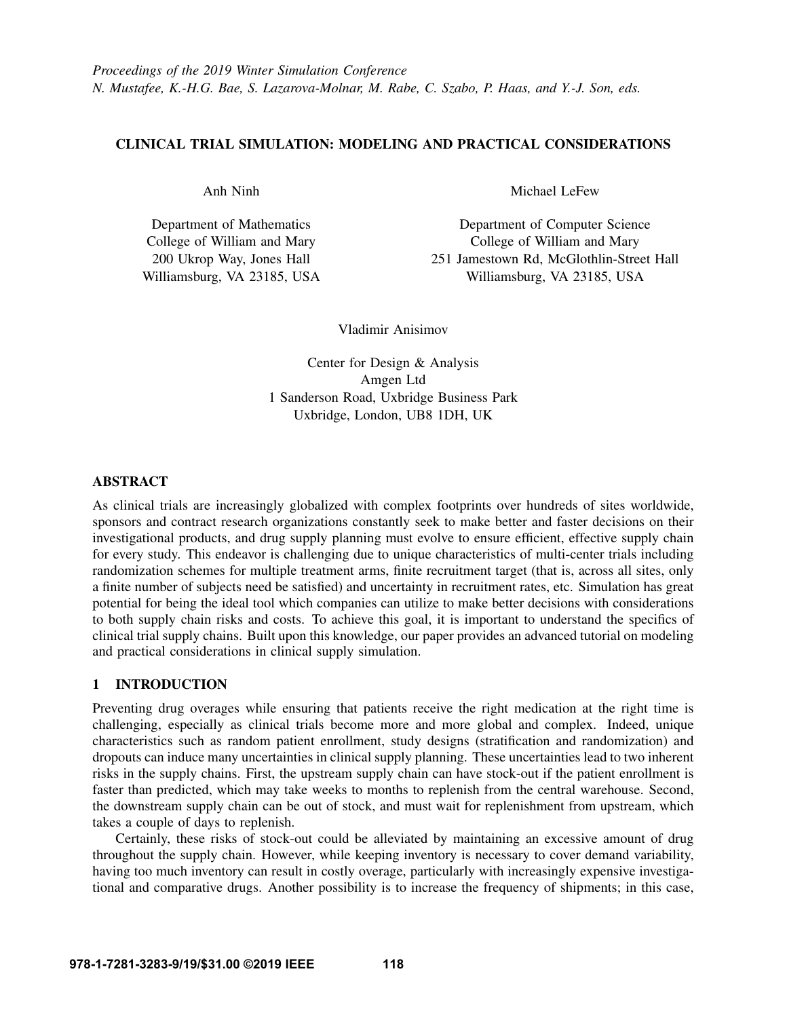# CLINICAL TRIAL SIMULATION: MODELING AND PRACTICAL CONSIDERATIONS

Anh Ninh

Department of Mathematics College of William and Mary 200 Ukrop Way, Jones Hall Williamsburg, VA 23185, USA Michael LeFew

Department of Computer Science College of William and Mary 251 Jamestown Rd, McGlothlin-Street Hall Williamsburg, VA 23185, USA

Vladimir Anisimov

Center for Design & Analysis Amgen Ltd 1 Sanderson Road, Uxbridge Business Park Uxbridge, London, UB8 1DH, UK

# ABSTRACT

As clinical trials are increasingly globalized with complex footprints over hundreds of sites worldwide, sponsors and contract research organizations constantly seek to make better and faster decisions on their investigational products, and drug supply planning must evolve to ensure efficient, effective supply chain for every study. This endeavor is challenging due to unique characteristics of multi-center trials including randomization schemes for multiple treatment arms, finite recruitment target (that is, across all sites, only a finite number of subjects need be satisfied) and uncertainty in recruitment rates, etc. Simulation has great potential for being the ideal tool which companies can utilize to make better decisions with considerations to both supply chain risks and costs. To achieve this goal, it is important to understand the specifics of clinical trial supply chains. Built upon this knowledge, our paper provides an advanced tutorial on modeling and practical considerations in clinical supply simulation.

## 1 INTRODUCTION

Preventing drug overages while ensuring that patients receive the right medication at the right time is challenging, especially as clinical trials become more and more global and complex. Indeed, unique characteristics such as random patient enrollment, study designs (stratification and randomization) and dropouts can induce many uncertainties in clinical supply planning. These uncertainties lead to two inherent risks in the supply chains. First, the upstream supply chain can have stock-out if the patient enrollment is faster than predicted, which may take weeks to months to replenish from the central warehouse. Second, the downstream supply chain can be out of stock, and must wait for replenishment from upstream, which takes a couple of days to replenish.

Certainly, these risks of stock-out could be alleviated by maintaining an excessive amount of drug throughout the supply chain. However, while keeping inventory is necessary to cover demand variability, having too much inventory can result in costly overage, particularly with increasingly expensive investigational and comparative drugs. Another possibility is to increase the frequency of shipments; in this case,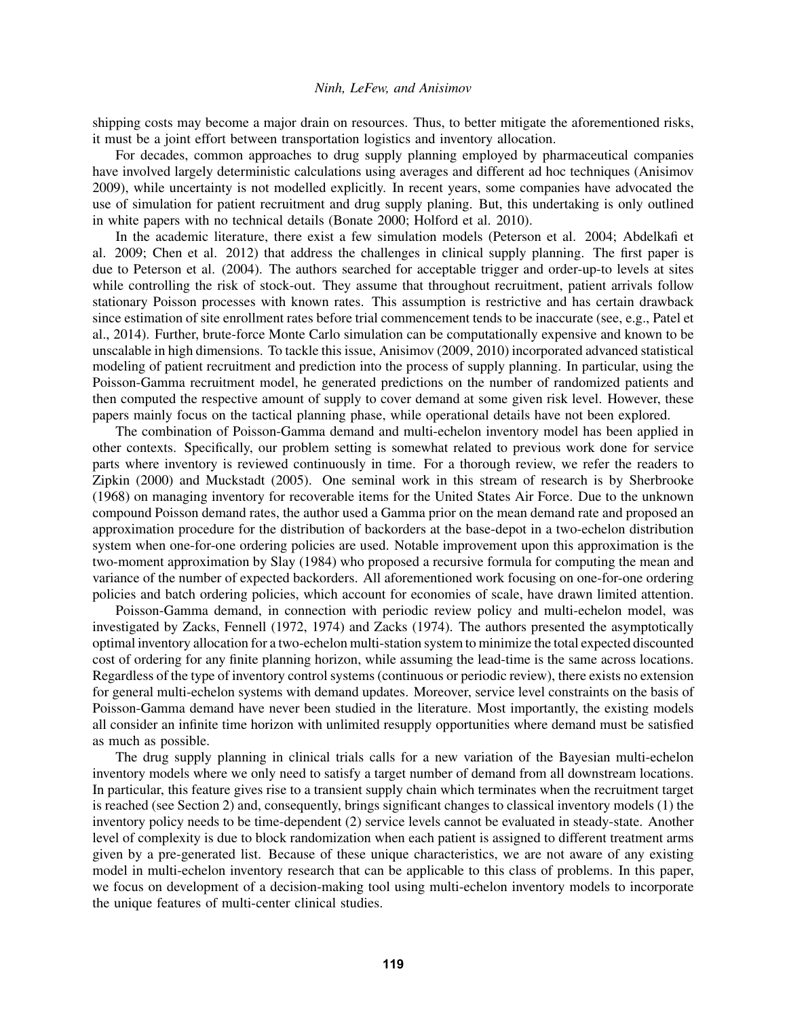shipping costs may become a major drain on resources. Thus, to better mitigate the aforementioned risks, it must be a joint effort between transportation logistics and inventory allocation.

For decades, common approaches to drug supply planning employed by pharmaceutical companies have involved largely deterministic calculations using averages and different ad hoc techniques (Anisimov 2009), while uncertainty is not modelled explicitly. In recent years, some companies have advocated the use of simulation for patient recruitment and drug supply planing. But, this undertaking is only outlined in white papers with no technical details (Bonate 2000; Holford et al. 2010).

In the academic literature, there exist a few simulation models (Peterson et al. 2004; Abdelkafi et al. 2009; Chen et al. 2012) that address the challenges in clinical supply planning. The first paper is due to Peterson et al. (2004). The authors searched for acceptable trigger and order-up-to levels at sites while controlling the risk of stock-out. They assume that throughout recruitment, patient arrivals follow stationary Poisson processes with known rates. This assumption is restrictive and has certain drawback since estimation of site enrollment rates before trial commencement tends to be inaccurate (see, e.g., Patel et al., 2014). Further, brute-force Monte Carlo simulation can be computationally expensive and known to be unscalable in high dimensions. To tackle this issue, Anisimov (2009, 2010) incorporated advanced statistical modeling of patient recruitment and prediction into the process of supply planning. In particular, using the Poisson-Gamma recruitment model, he generated predictions on the number of randomized patients and then computed the respective amount of supply to cover demand at some given risk level. However, these papers mainly focus on the tactical planning phase, while operational details have not been explored.

The combination of Poisson-Gamma demand and multi-echelon inventory model has been applied in other contexts. Specifically, our problem setting is somewhat related to previous work done for service parts where inventory is reviewed continuously in time. For a thorough review, we refer the readers to Zipkin (2000) and Muckstadt (2005). One seminal work in this stream of research is by Sherbrooke (1968) on managing inventory for recoverable items for the United States Air Force. Due to the unknown compound Poisson demand rates, the author used a Gamma prior on the mean demand rate and proposed an approximation procedure for the distribution of backorders at the base-depot in a two-echelon distribution system when one-for-one ordering policies are used. Notable improvement upon this approximation is the two-moment approximation by Slay (1984) who proposed a recursive formula for computing the mean and variance of the number of expected backorders. All aforementioned work focusing on one-for-one ordering policies and batch ordering policies, which account for economies of scale, have drawn limited attention.

Poisson-Gamma demand, in connection with periodic review policy and multi-echelon model, was investigated by Zacks, Fennell (1972, 1974) and Zacks (1974). The authors presented the asymptotically optimal inventory allocation for a two-echelon multi-station system to minimize the total expected discounted cost of ordering for any finite planning horizon, while assuming the lead-time is the same across locations. Regardless of the type of inventory control systems (continuous or periodic review), there exists no extension for general multi-echelon systems with demand updates. Moreover, service level constraints on the basis of Poisson-Gamma demand have never been studied in the literature. Most importantly, the existing models all consider an infinite time horizon with unlimited resupply opportunities where demand must be satisfied as much as possible.

The drug supply planning in clinical trials calls for a new variation of the Bayesian multi-echelon inventory models where we only need to satisfy a target number of demand from all downstream locations. In particular, this feature gives rise to a transient supply chain which terminates when the recruitment target is reached (see Section [2\)](#page-2-0) and, consequently, brings significant changes to classical inventory models (1) the inventory policy needs to be time-dependent (2) service levels cannot be evaluated in steady-state. Another level of complexity is due to block randomization when each patient is assigned to different treatment arms given by a pre-generated list. Because of these unique characteristics, we are not aware of any existing model in multi-echelon inventory research that can be applicable to this class of problems. In this paper, we focus on development of a decision-making tool using multi-echelon inventory models to incorporate the unique features of multi-center clinical studies.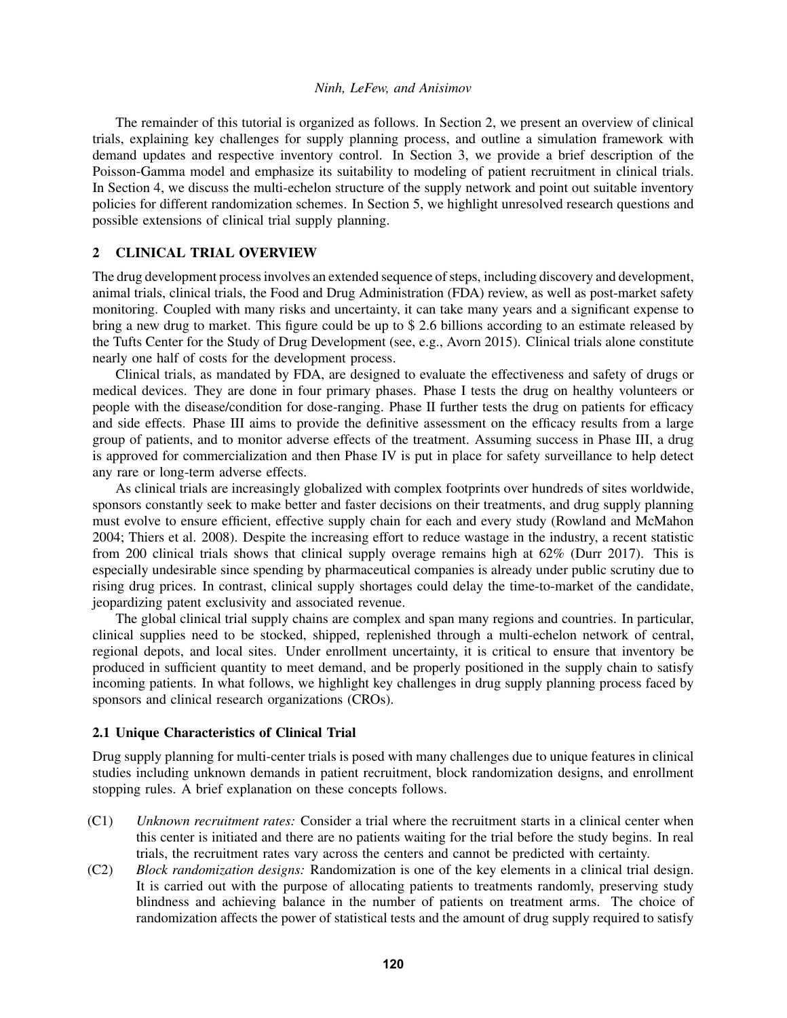The remainder of this tutorial is organized as follows. In Section 2, we present an overview of clinical trials, explaining key challenges for supply planning process, and outline a simulation framework with demand updates and respective inventory control. In Section 3, we provide a brief description of the Poisson-Gamma model and emphasize its suitability to modeling of patient recruitment in clinical trials. In Section 4, we discuss the multi-echelon structure of the supply network and point out suitable inventory policies for different randomization schemes. In Section 5, we highlight unresolved research questions and possible extensions of clinical trial supply planning.

## <span id="page-2-0"></span>2 CLINICAL TRIAL OVERVIEW

The drug development process involves an extended sequence of steps, including discovery and development, animal trials, clinical trials, the Food and Drug Administration (FDA) review, as well as post-market safety monitoring. Coupled with many risks and uncertainty, it can take many years and a significant expense to bring a new drug to market. This figure could be up to \$ 2.6 billions according to an estimate released by the Tufts Center for the Study of Drug Development (see, e.g., Avorn 2015). Clinical trials alone constitute nearly one half of costs for the development process.

Clinical trials, as mandated by FDA, are designed to evaluate the effectiveness and safety of drugs or medical devices. They are done in four primary phases. Phase I tests the drug on healthy volunteers or people with the disease/condition for dose-ranging. Phase II further tests the drug on patients for efficacy and side effects. Phase III aims to provide the definitive assessment on the efficacy results from a large group of patients, and to monitor adverse effects of the treatment. Assuming success in Phase III, a drug is approved for commercialization and then Phase IV is put in place for safety surveillance to help detect any rare or long-term adverse effects.

As clinical trials are increasingly globalized with complex footprints over hundreds of sites worldwide, sponsors constantly seek to make better and faster decisions on their treatments, and drug supply planning must evolve to ensure efficient, effective supply chain for each and every study (Rowland and McMahon 2004; Thiers et al. 2008). Despite the increasing effort to reduce wastage in the industry, a recent statistic from 200 clinical trials shows that clinical supply overage remains high at 62% (Durr 2017). This is especially undesirable since spending by pharmaceutical companies is already under public scrutiny due to rising drug prices. In contrast, clinical supply shortages could delay the time-to-market of the candidate, jeopardizing patent exclusivity and associated revenue.

The global clinical trial supply chains are complex and span many regions and countries. In particular, clinical supplies need to be stocked, shipped, replenished through a multi-echelon network of central, regional depots, and local sites. Under enrollment uncertainty, it is critical to ensure that inventory be produced in sufficient quantity to meet demand, and be properly positioned in the supply chain to satisfy incoming patients. In what follows, we highlight key challenges in drug supply planning process faced by sponsors and clinical research organizations (CROs).

### 2.1 Unique Characteristics of Clinical Trial

Drug supply planning for multi-center trials is posed with many challenges due to unique features in clinical studies including unknown demands in patient recruitment, block randomization designs, and enrollment stopping rules. A brief explanation on these concepts follows.

- (C1) *Unknown recruitment rates:* Consider a trial where the recruitment starts in a clinical center when this center is initiated and there are no patients waiting for the trial before the study begins. In real trials, the recruitment rates vary across the centers and cannot be predicted with certainty.
- (C2) *Block randomization designs:* Randomization is one of the key elements in a clinical trial design. It is carried out with the purpose of allocating patients to treatments randomly, preserving study blindness and achieving balance in the number of patients on treatment arms. The choice of randomization affects the power of statistical tests and the amount of drug supply required to satisfy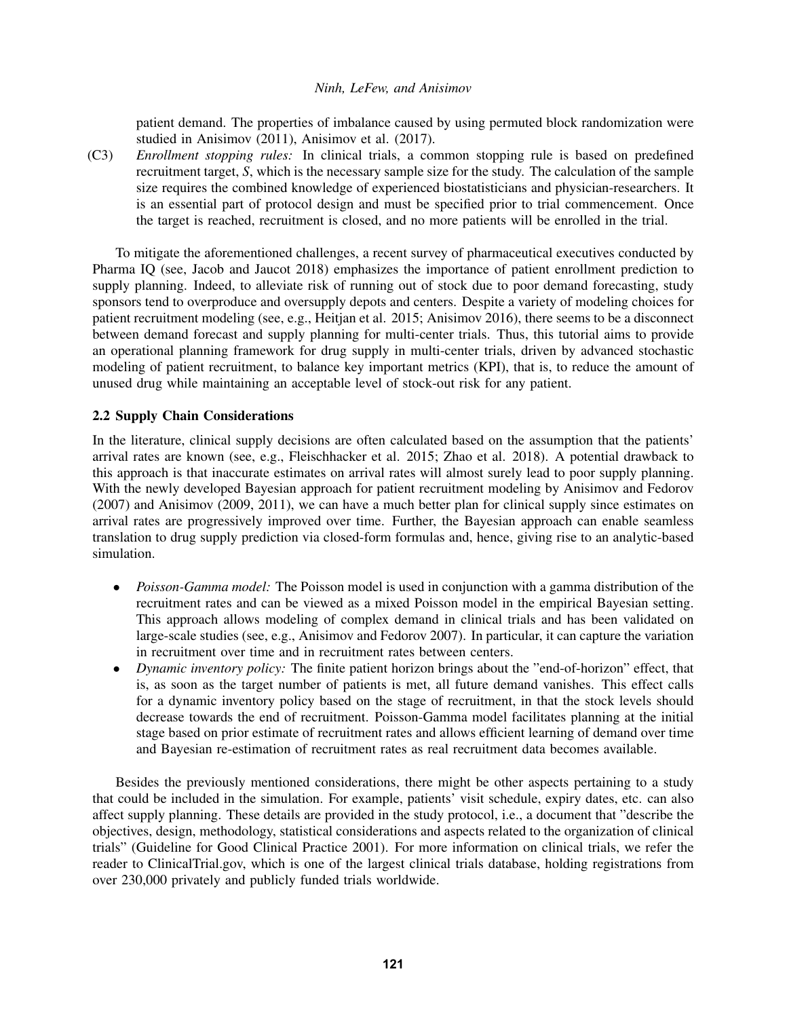patient demand. The properties of imbalance caused by using permuted block randomization were studied in Anisimov (2011), Anisimov et al. (2017).

(C3) *Enrollment stopping rules:* In clinical trials, a common stopping rule is based on predefined recruitment target, *S*, which is the necessary sample size for the study. The calculation of the sample size requires the combined knowledge of experienced biostatisticians and physician-researchers. It is an essential part of protocol design and must be specified prior to trial commencement. Once the target is reached, recruitment is closed, and no more patients will be enrolled in the trial.

To mitigate the aforementioned challenges, a recent survey of pharmaceutical executives conducted by Pharma IQ (see, Jacob and Jaucot 2018) emphasizes the importance of patient enrollment prediction to supply planning. Indeed, to alleviate risk of running out of stock due to poor demand forecasting, study sponsors tend to overproduce and oversupply depots and centers. Despite a variety of modeling choices for patient recruitment modeling (see, e.g., Heitjan et al. 2015; Anisimov 2016), there seems to be a disconnect between demand forecast and supply planning for multi-center trials. Thus, this tutorial aims to provide an operational planning framework for drug supply in multi-center trials, driven by advanced stochastic modeling of patient recruitment, to balance key important metrics (KPI), that is, to reduce the amount of unused drug while maintaining an acceptable level of stock-out risk for any patient.

# 2.2 Supply Chain Considerations

In the literature, clinical supply decisions are often calculated based on the assumption that the patients' arrival rates are known (see, e.g., Fleischhacker et al. 2015; Zhao et al. 2018). A potential drawback to this approach is that inaccurate estimates on arrival rates will almost surely lead to poor supply planning. With the newly developed Bayesian approach for patient recruitment modeling by Anisimov and Fedorov (2007) and Anisimov (2009, 2011), we can have a much better plan for clinical supply since estimates on arrival rates are progressively improved over time. Further, the Bayesian approach can enable seamless translation to drug supply prediction via closed-form formulas and, hence, giving rise to an analytic-based simulation.

- *Poisson-Gamma model:* The Poisson model is used in conjunction with a gamma distribution of the recruitment rates and can be viewed as a mixed Poisson model in the empirical Bayesian setting. This approach allows modeling of complex demand in clinical trials and has been validated on large-scale studies (see, e.g., Anisimov and Fedorov 2007). In particular, it can capture the variation in recruitment over time and in recruitment rates between centers.
- *Dynamic inventory policy:* The finite patient horizon brings about the "end-of-horizon" effect, that is, as soon as the target number of patients is met, all future demand vanishes. This effect calls for a dynamic inventory policy based on the stage of recruitment, in that the stock levels should decrease towards the end of recruitment. Poisson-Gamma model facilitates planning at the initial stage based on prior estimate of recruitment rates and allows efficient learning of demand over time and Bayesian re-estimation of recruitment rates as real recruitment data becomes available.

Besides the previously mentioned considerations, there might be other aspects pertaining to a study that could be included in the simulation. For example, patients' visit schedule, expiry dates, etc. can also affect supply planning. These details are provided in the study protocol, i.e., a document that "describe the objectives, design, methodology, statistical considerations and aspects related to the organization of clinical trials" (Guideline for Good Clinical Practice 2001). For more information on clinical trials, we refer the reader to ClinicalTrial.gov, which is one of the largest clinical trials database, holding registrations from over 230,000 privately and publicly funded trials worldwide.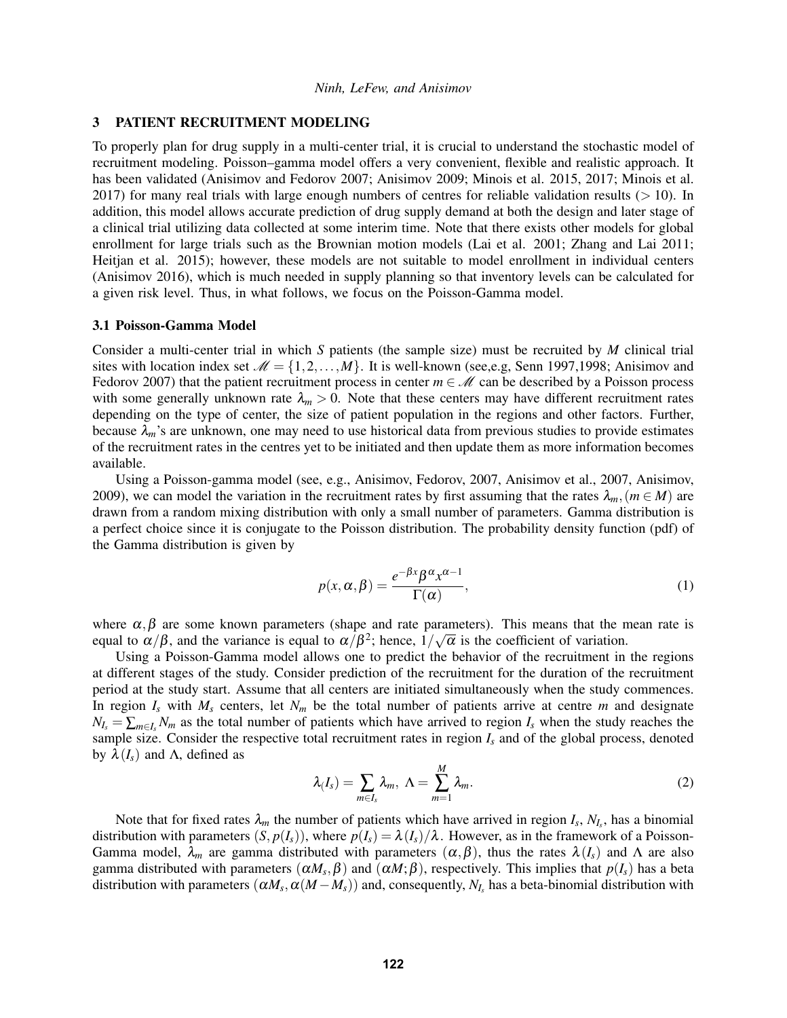## <span id="page-4-0"></span>3 PATIENT RECRUITMENT MODELING

To properly plan for drug supply in a multi-center trial, it is crucial to understand the stochastic model of recruitment modeling. Poisson–gamma model offers a very convenient, flexible and realistic approach. It has been validated (Anisimov and Fedorov 2007; Anisimov 2009; Minois et al. 2015, 2017; Minois et al. 2017) for many real trials with large enough numbers of centres for reliable validation results ( $> 10$ ). In addition, this model allows accurate prediction of drug supply demand at both the design and later stage of a clinical trial utilizing data collected at some interim time. Note that there exists other models for global enrollment for large trials such as the Brownian motion models (Lai et al. 2001; Zhang and Lai 2011; Heitjan et al. 2015); however, these models are not suitable to model enrollment in individual centers (Anisimov 2016), which is much needed in supply planning so that inventory levels can be calculated for a given risk level. Thus, in what follows, we focus on the Poisson-Gamma model.

### 3.1 Poisson-Gamma Model

Consider a multi-center trial in which *S* patients (the sample size) must be recruited by *M* clinical trial sites with location index set  $M = \{1, 2, ..., M\}$ . It is well-known (see,e.g, Senn 1997,1998; Anisimov and Fedorov 2007) that the patient recruitment process in center  $m \in \mathcal{M}$  can be described by a Poisson process with some generally unknown rate  $\lambda_m > 0$ . Note that these centers may have different recruitment rates depending on the type of center, the size of patient population in the regions and other factors. Further, because  $\lambda_m$ 's are unknown, one may need to use historical data from previous studies to provide estimates of the recruitment rates in the centres yet to be initiated and then update them as more information becomes available.

Using a Poisson-gamma model (see, e.g., Anisimov, Fedorov, 2007, Anisimov et al., 2007, Anisimov, 2009), we can model the variation in the recruitment rates by first assuming that the rates  $\lambda_m$ , ( $m \in M$ ) are drawn from a random mixing distribution with only a small number of parameters. Gamma distribution is a perfect choice since it is conjugate to the Poisson distribution. The probability density function (pdf) of the Gamma distribution is given by

$$
p(x, \alpha, \beta) = \frac{e^{-\beta x} \beta^{\alpha} x^{\alpha - 1}}{\Gamma(\alpha)},
$$
\n(1)

where  $\alpha, \beta$  are some known parameters (shape and rate parameters). This means that the mean rate is equal to  $\alpha/\beta$ , and the variance is equal to  $\alpha/\beta^2$ ; hence,  $1/\sqrt{\alpha}$  is the coefficient of variation.

Using a Poisson-Gamma model allows one to predict the behavior of the recruitment in the regions at different stages of the study. Consider prediction of the recruitment for the duration of the recruitment period at the study start. Assume that all centers are initiated simultaneously when the study commences. In region  $I_s$  with  $M_s$  centers, let  $N_m$  be the total number of patients arrive at centre  $m$  and designate  $N_I = \sum_{m \in I_s} N_m$  as the total number of patients which have arrived to region  $I_s$  when the study reaches the sample size. Consider the respective total recruitment rates in region *I<sup>s</sup>* and of the global process, denoted by  $\lambda(I_s)$  and Λ, defined as

$$
\lambda(I_s) = \sum_{m \in I_s} \lambda_m, \ \Lambda = \sum_{m=1}^M \lambda_m. \tag{2}
$$

Note that for fixed rates  $\lambda_m$  the number of patients which have arrived in region  $I_s$ ,  $N_{I_s}$ , has a binomial distribution with parameters  $(S, p(I_s))$ , where  $p(I_s) = \lambda (I_s)/\lambda$ . However, as in the framework of a Poisson-Gamma model,  $\lambda_m$  are gamma distributed with parameters  $(\alpha, \beta)$ , thus the rates  $\lambda(I_s)$  and Λ are also gamma distributed with parameters  $(\alpha M_s, \beta)$  and  $(\alpha M; \beta)$ , respectively. This implies that  $p(I_s)$  has a beta distribution with parameters  $(\alpha M_s, \alpha (M - M_s))$  and, consequently,  $N_{I_s}$  has a beta-binomial distribution with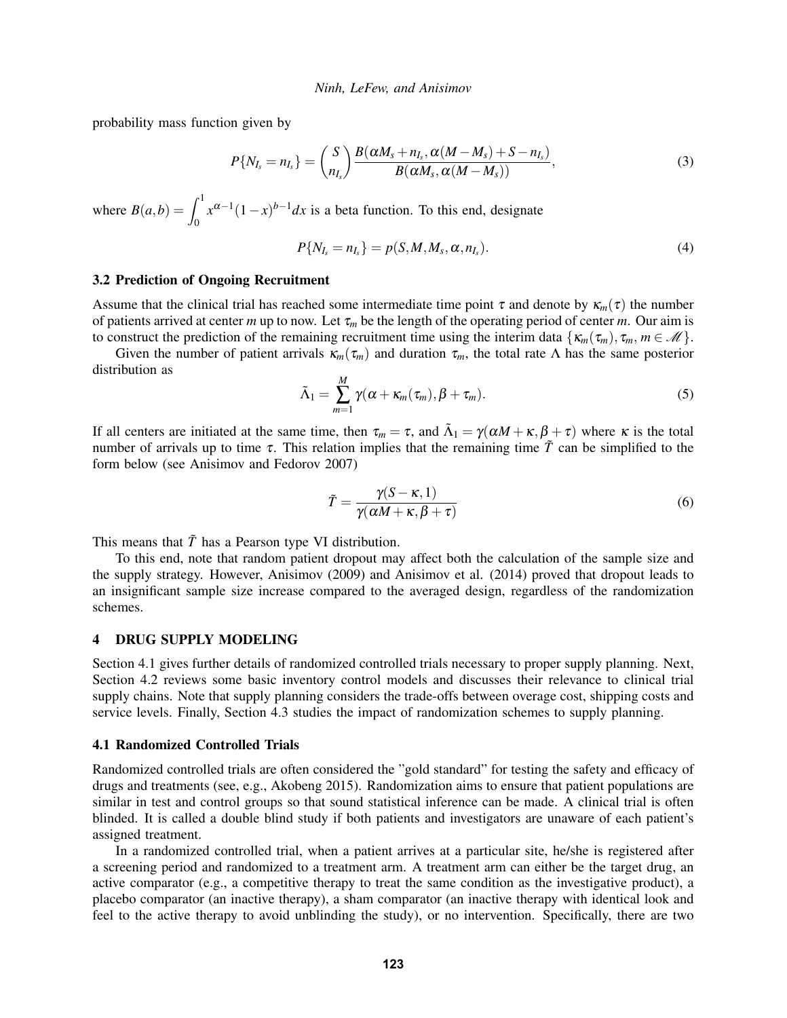probability mass function given by

$$
P\{N_{I_s}=n_{I_s}\}=\binom{S}{n_{I_s}}\frac{B(\alpha M_s+n_{I_s},\alpha(M-M_s)+S-n_{I_s})}{B(\alpha M_s,\alpha(M-M_s))},\qquad \qquad (3)
$$

where  $B(a,b) = \int_0^1$  $x^{\alpha-1}(1-x)^{b-1}dx$  is a beta function. To this end, designate

$$
P\{N_{I_s} = n_{I_s}\} = p(S, M, M_s, \alpha, n_{I_s}).
$$
\n(4)

#### 3.2 Prediction of Ongoing Recruitment

Assume that the clinical trial has reached some intermediate time point  $\tau$  and denote by  $\kappa_m(\tau)$  the number of patients arrived at center *m* up to now. Let  $\tau_m$  be the length of the operating period of center *m*. Our aim is to construct the prediction of the remaining recruitment time using the interim data  $\{\kappa_m(\tau_m), \tau_m, m \in \mathcal{M}\}\.$ 

Given the number of patient arrivals  $\kappa_m(\tau_m)$  and duration  $\tau_m$ , the total rate  $\Lambda$  has the same posterior distribution as

$$
\tilde{\Lambda}_1 = \sum_{m=1}^M \gamma(\alpha + \kappa_m(\tau_m), \beta + \tau_m).
$$
\n(5)

If all centers are initiated at the same time, then  $\tau_m = \tau$ , and  $\tilde{\Lambda}_1 = \gamma(\alpha M + \kappa, \beta + \tau)$  where  $\kappa$  is the total number of arrivals up to time  $\tau$ . This relation implies that the remaining time  $\tilde{T}$  can be simplified to the form below (see Anisimov and Fedorov 2007)

$$
\tilde{T} = \frac{\gamma(S - \kappa, 1)}{\gamma(\alpha M + \kappa, \beta + \tau)}
$$
\n(6)

This means that  $\tilde{T}$  has a Pearson type VI distribution.

To this end, note that random patient dropout may affect both the calculation of the sample size and the supply strategy. However, Anisimov (2009) and Anisimov et al. (2014) proved that dropout leads to an insignificant sample size increase compared to the averaged design, regardless of the randomization schemes.

### 4 DRUG SUPPLY MODELING

Section [4.1](#page-5-0) gives further details of randomized controlled trials necessary to proper supply planning. Next, Section [4.2](#page-6-0) reviews some basic inventory control models and discusses their relevance to clinical trial supply chains. Note that supply planning considers the trade-offs between overage cost, shipping costs and service levels. Finally, Section [4.3](#page-8-0) studies the impact of randomization schemes to supply planning.

### <span id="page-5-0"></span>4.1 Randomized Controlled Trials

Randomized controlled trials are often considered the "gold standard" for testing the safety and efficacy of drugs and treatments (see, e.g., Akobeng 2015). Randomization aims to ensure that patient populations are similar in test and control groups so that sound statistical inference can be made. A clinical trial is often blinded. It is called a double blind study if both patients and investigators are unaware of each patient's assigned treatment.

In a randomized controlled trial, when a patient arrives at a particular site, he/she is registered after a screening period and randomized to a treatment arm. A treatment arm can either be the target drug, an active comparator (e.g., a competitive therapy to treat the same condition as the investigative product), a placebo comparator (an inactive therapy), a sham comparator (an inactive therapy with identical look and feel to the active therapy to avoid unblinding the study), or no intervention. Specifically, there are two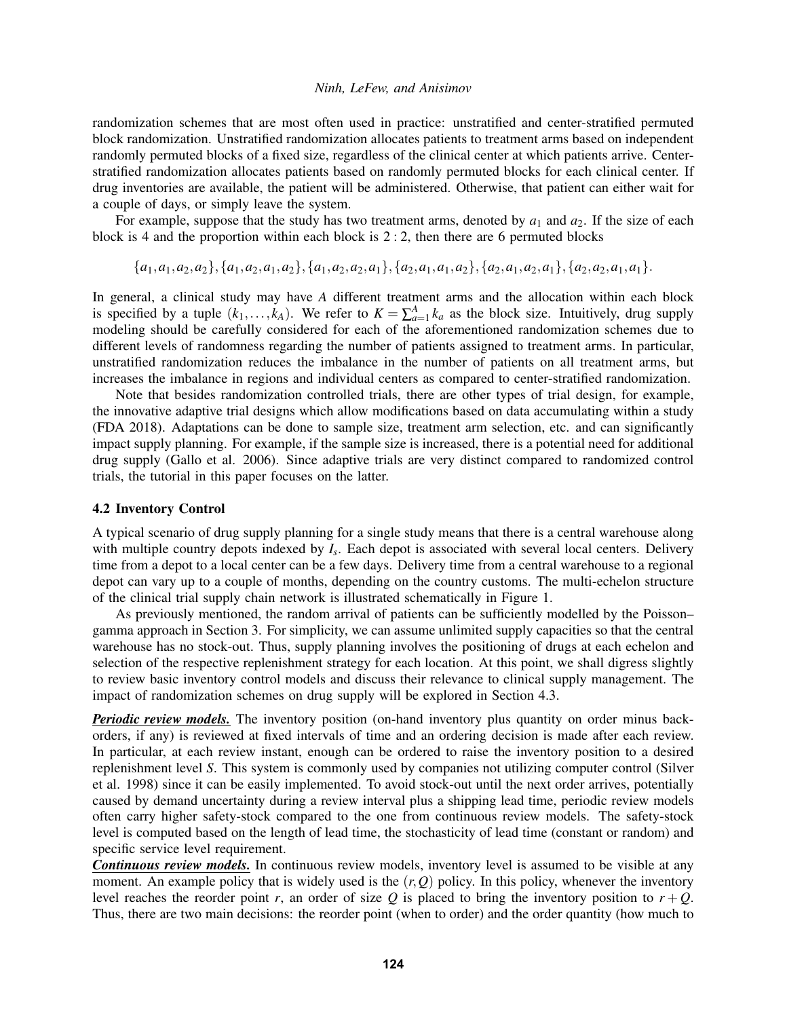randomization schemes that are most often used in practice: unstratified and center-stratified permuted block randomization. Unstratified randomization allocates patients to treatment arms based on independent randomly permuted blocks of a fixed size, regardless of the clinical center at which patients arrive. Centerstratified randomization allocates patients based on randomly permuted blocks for each clinical center. If drug inventories are available, the patient will be administered. Otherwise, that patient can either wait for a couple of days, or simply leave the system.

For example, suppose that the study has two treatment arms, denoted by  $a_1$  and  $a_2$ . If the size of each block is 4 and the proportion within each block is  $2:2$ , then there are 6 permuted blocks

<span id="page-6-1"></span> ${a_1,a_1,a_2,a_2}, {a_1,a_2,a_1,a_2}, {a_1,a_2,a_2,a_1}, {a_2,a_1,a_2,a_1,a_2,a_1,a_2,a_1}, {a_2,a_2,a_1,a_1}.$ 

In general, a clinical study may have *A* different treatment arms and the allocation within each block is specified by a tuple  $(k_1,..., k_A)$ . We refer to  $K = \sum_{a=1}^A k_a$  as the block size. Intuitively, drug supply modeling should be carefully considered for each of the aforementioned randomization schemes due to different levels of randomness regarding the number of patients assigned to treatment arms. In particular, unstratified randomization reduces the imbalance in the number of patients on all treatment arms, but increases the imbalance in regions and individual centers as compared to center-stratified randomization.

Note that besides randomization controlled trials, there are other types of trial design, for example, the innovative adaptive trial designs which allow modifications based on data accumulating within a study (FDA 2018). Adaptations can be done to sample size, treatment arm selection, etc. and can significantly impact supply planning. For example, if the sample size is increased, there is a potential need for additional drug supply (Gallo et al. 2006). Since adaptive trials are very distinct compared to randomized control trials, the tutorial in this paper focuses on the latter.

### <span id="page-6-0"></span>4.2 Inventory Control

A typical scenario of drug supply planning for a single study means that there is a central warehouse along with multiple country depots indexed by  $I_s$ . Each depot is associated with several local centers. Delivery time from a depot to a local center can be a few days. Delivery time from a central warehouse to a regional depot can vary up to a couple of months, depending on the country customs. The multi-echelon structure of the clinical trial supply chain network is illustrated schematically in Figure 1.

As previously mentioned, the random arrival of patients can be sufficiently modelled by the Poisson– gamma approach in Section [3.](#page-4-0) For simplicity, we can assume unlimited supply capacities so that the central warehouse has no stock-out. Thus, supply planning involves the positioning of drugs at each echelon and selection of the respective replenishment strategy for each location. At this point, we shall digress slightly to review basic inventory control models and discuss their relevance to clinical supply management. The impact of randomization schemes on drug supply will be explored in Section [4.3.](#page-8-0)

*Periodic review models.* The inventory position (on-hand inventory plus quantity on order minus backorders, if any) is reviewed at fixed intervals of time and an ordering decision is made after each review. In particular, at each review instant, enough can be ordered to raise the inventory position to a desired replenishment level *S*. This system is commonly used by companies not utilizing computer control (Silver et al. 1998) since it can be easily implemented. To avoid stock-out until the next order arrives, potentially caused by demand uncertainty during a review interval plus a shipping lead time, periodic review models often carry higher safety-stock compared to the one from continuous review models. The safety-stock level is computed based on the length of lead time, the stochasticity of lead time (constant or random) and specific service level requirement.

*Continuous review models.* In continuous review models, inventory level is assumed to be visible at any moment. An example policy that is widely used is the  $(r, Q)$  policy. In this policy, whenever the inventory level reaches the reorder point *r*, an order of size  $Q$  is placed to bring the inventory position to  $r + Q$ . Thus, there are two main decisions: the reorder point (when to order) and the order quantity (how much to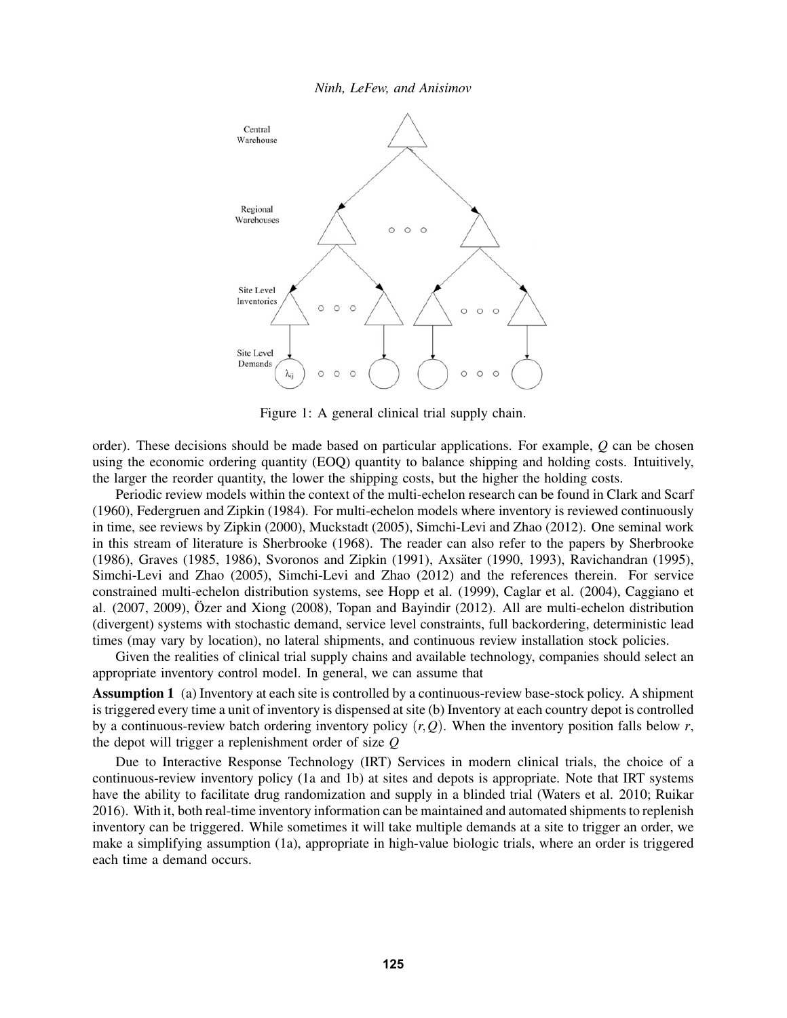

Figure 1: A general clinical trial supply chain.

order). These decisions should be made based on particular applications. For example, *Q* can be chosen using the economic ordering quantity (EOQ) quantity to balance shipping and holding costs. Intuitively, the larger the reorder quantity, the lower the shipping costs, but the higher the holding costs.

Periodic review models within the context of the multi-echelon research can be found in Clark and Scarf (1960), Federgruen and Zipkin (1984). For multi-echelon models where inventory is reviewed continuously in time, see reviews by Zipkin (2000), Muckstadt (2005), Simchi-Levi and Zhao (2012). One seminal work in this stream of literature is Sherbrooke (1968). The reader can also refer to the papers by Sherbrooke (1986), Graves (1985, 1986), Svoronos and Zipkin (1991), Axsäter (1990, 1993), Ravichandran (1995), Simchi-Levi and Zhao (2005), Simchi-Levi and Zhao (2012) and the references therein. For service constrained multi-echelon distribution systems, see Hopp et al. (1999), Caglar et al. (2004), Caggiano et al. (2007, 2009), Özer and Xiong (2008), Topan and Bayindir (2012). All are multi-echelon distribution (divergent) systems with stochastic demand, service level constraints, full backordering, deterministic lead times (may vary by location), no lateral shipments, and continuous review installation stock policies.

Given the realities of clinical trial supply chains and available technology, companies should select an appropriate inventory control model. In general, we can assume that

Assumption 1 (a) Inventory at each site is controlled by a continuous-review base-stock policy. A shipment is triggered every time a unit of inventory is dispensed at site (b) Inventory at each country depot is controlled by a continuous-review batch ordering inventory policy (*r*,*Q*). When the inventory position falls below *r*, the depot will trigger a replenishment order of size *Q*

Due to Interactive Response Technology (IRT) Services in modern clinical trials, the choice of a continuous-review inventory policy (1a and 1b) at sites and depots is appropriate. Note that IRT systems have the ability to facilitate drug randomization and supply in a blinded trial (Waters et al. 2010; Ruikar 2016). With it, both real-time inventory information can be maintained and automated shipments to replenish inventory can be triggered. While sometimes it will take multiple demands at a site to trigger an order, we make a simplifying assumption (1a), appropriate in high-value biologic trials, where an order is triggered each time a demand occurs.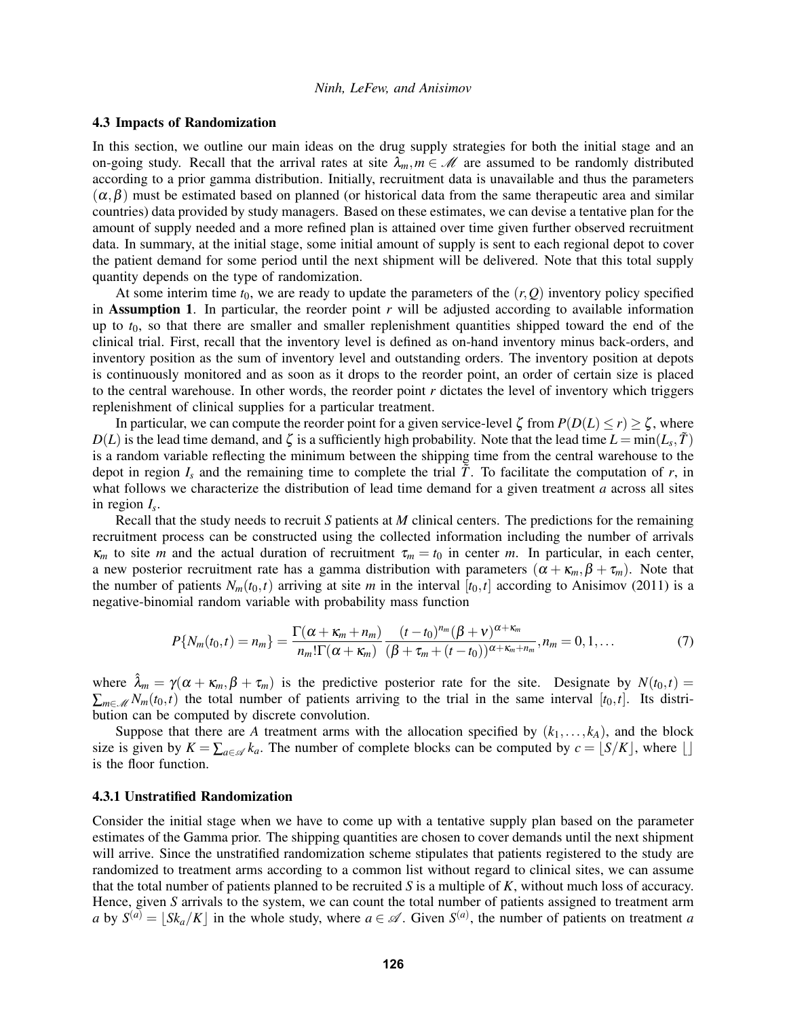#### <span id="page-8-0"></span>4.3 Impacts of Randomization

In this section, we outline our main ideas on the drug supply strategies for both the initial stage and an on-going study. Recall that the arrival rates at site  $\lambda_m, m \in \mathcal{M}$  are assumed to be randomly distributed according to a prior gamma distribution. Initially, recruitment data is unavailable and thus the parameters  $(\alpha, \beta)$  must be estimated based on planned (or historical data from the same therapeutic area and similar countries) data provided by study managers. Based on these estimates, we can devise a tentative plan for the amount of supply needed and a more refined plan is attained over time given further observed recruitment data. In summary, at the initial stage, some initial amount of supply is sent to each regional depot to cover the patient demand for some period until the next shipment will be delivered. Note that this total supply quantity depends on the type of randomization.

At some interim time  $t_0$ , we are ready to update the parameters of the  $(r, Q)$  inventory policy specified in **Assumption 1.** In particular, the reorder point  $r$  will be adjusted according to available information up to  $t_0$ , so that there are smaller and smaller replenishment quantities shipped toward the end of the clinical trial. First, recall that the inventory level is defined as on-hand inventory minus back-orders, and inventory position as the sum of inventory level and outstanding orders. The inventory position at depots is continuously monitored and as soon as it drops to the reorder point, an order of certain size is placed to the central warehouse. In other words, the reorder point *r* dictates the level of inventory which triggers replenishment of clinical supplies for a particular treatment.

In particular, we can compute the reorder point for a given service-level  $\zeta$  from  $P(D(L) \le r) \ge \zeta$ , where  $D(L)$  is the lead time demand, and  $\zeta$  is a sufficiently high probability. Note that the lead time  $L = \min(L_s, \tilde{T})$ is a random variable reflecting the minimum between the shipping time from the central warehouse to the depot in region  $I_s$  and the remaining time to complete the trial  $\tilde{T}$ . To facilitate the computation of *r*, in what follows we characterize the distribution of lead time demand for a given treatment *a* across all sites in region *I<sup>s</sup>* .

Recall that the study needs to recruit *S* patients at *M* clinical centers. The predictions for the remaining recruitment process can be constructed using the collected information including the number of arrivals  $\kappa_m$  to site *m* and the actual duration of recruitment  $\tau_m = t_0$  in center *m*. In particular, in each center, a new posterior recruitment rate has a gamma distribution with parameters  $(\alpha + \kappa_m, \beta + \tau_m)$ . Note that the number of patients  $N_m(t_0,t)$  arriving at site *m* in the interval  $[t_0,t]$  according to Anisimov (2011) is a negative-binomial random variable with probability mass function

$$
P\{N_m(t_0,t)=n_m\}=\frac{\Gamma(\alpha+\kappa_m+n_m)}{n_m!\Gamma(\alpha+\kappa_m)}\frac{(t-t_0)^{n_m}(\beta+\nu)^{\alpha+\kappa_m}}{(\beta+\tau_m+(t-t_0))^{\alpha+\kappa_m+n_m}},n_m=0,1,\ldots
$$
(7)

where  $\hat{\lambda}_m = \gamma(\alpha + \kappa_m, \beta + \tau_m)$  is the predictive posterior rate for the site. Designate by  $N(t_0, t) =$  $\sum_{m \in \mathcal{M}} N_m(t_0,t)$  the total number of patients arriving to the trial in the same interval [ $t_0,t$ ]. Its distribution can be computed by discrete convolution.

Suppose that there are *A* treatment arms with the allocation specified by  $(k_1, \ldots, k_A)$ , and the block size is given by  $K = \sum_{a \in \mathcal{A}} k_a$ . The number of complete blocks can be computed by  $c = \lfloor S/K \rfloor$ , where  $\lfloor \rfloor$ is the floor function.

#### 4.3.1 Unstratified Randomization

Consider the initial stage when we have to come up with a tentative supply plan based on the parameter estimates of the Gamma prior. The shipping quantities are chosen to cover demands until the next shipment will arrive. Since the unstratified randomization scheme stipulates that patients registered to the study are randomized to treatment arms according to a common list without regard to clinical sites, we can assume that the total number of patients planned to be recruited *S* is a multiple of *K*, without much loss of accuracy. Hence, given *S* arrivals to the system, we can count the total number of patients assigned to treatment arm *a* by  $S^{(a)} = \lfloor Sk_a/K \rfloor$  in the whole study, where  $a \in \mathcal{A}$ . Given  $S^{(a)}$ , the number of patients on treatment *a*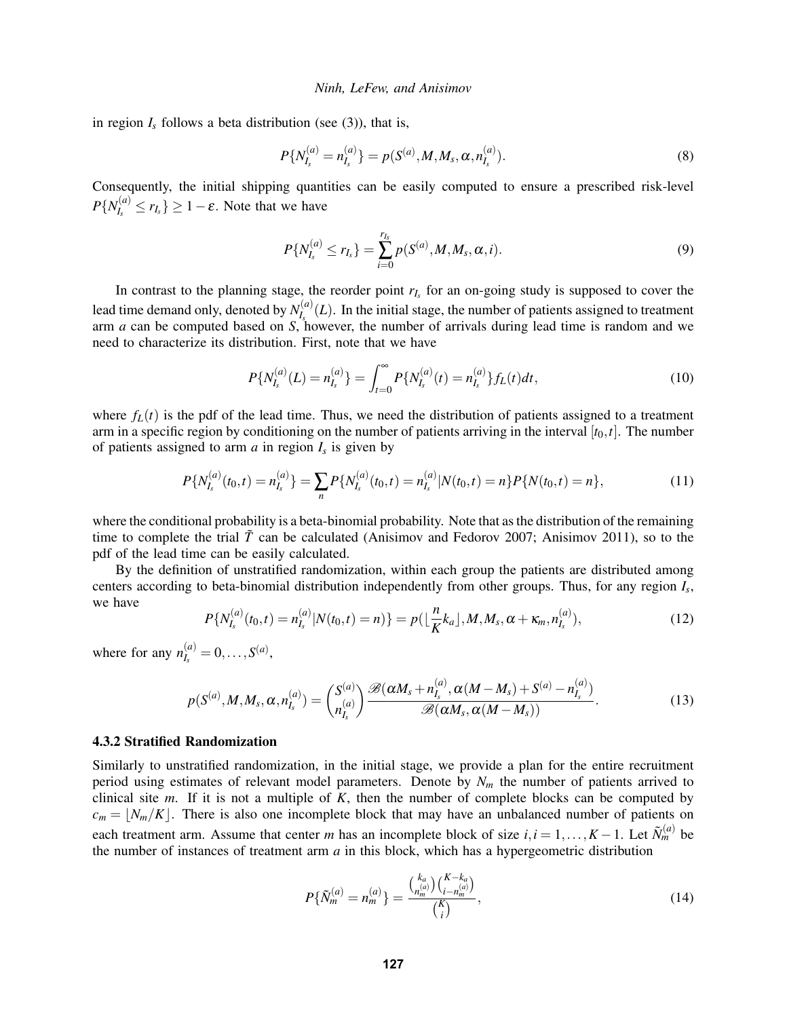in region  $I_s$  follows a beta distribution (see (3)), that is,

$$
P\{N_{I_s}^{(a)}=n_{I_s}^{(a)}\}=p(S^{(a)},M,M_s,\alpha,n_{I_s}^{(a)}).
$$
\n(8)

Consequently, the initial shipping quantities can be easily computed to ensure a prescribed risk-level  $P\{N_{L}^{(a)}\}$  $\left\{r_{I_s}^{(a)} \leq r_{I_s}\right\} \geq 1 - \varepsilon$ . Note that we have

$$
P\{N_{I_s}^{(a)} \le r_{I_s}\} = \sum_{i=0}^{r_{I_s}} p(S^{(a)}, M, M_s, \alpha, i).
$$
\n(9)

In contrast to the planning stage, the reorder point  $r_I$  for an on-going study is supposed to cover the lead time demand only, denoted by  $N_L^{(a)}$  $I_s^{(a)}(L)$ . In the initial stage, the number of patients assigned to treatment arm *a* can be computed based on *S*, however, the number of arrivals during lead time is random and we need to characterize its distribution. First, note that we have

$$
P\{N_{I_s}^{(a)}(L) = n_{I_s}^{(a)}\} = \int_{t=0}^{\infty} P\{N_{I_s}^{(a)}(t) = n_{I_s}^{(a)}\} f_L(t) dt,
$$
\n(10)

where  $f_L(t)$  is the pdf of the lead time. Thus, we need the distribution of patients assigned to a treatment arm in a specific region by conditioning on the number of patients arriving in the interval  $[t_0, t]$ . The number of patients assigned to arm  $a$  in region  $I_s$  is given by

$$
P\{N_{I_s}^{(a)}(t_0,t)=n_{I_s}^{(a)}\}=\sum_n P\{N_{I_s}^{(a)}(t_0,t)=n_{I_s}^{(a)}|N(t_0,t)=n\}P\{N(t_0,t)=n\},\tag{11}
$$

where the conditional probability is a beta-binomial probability. Note that as the distribution of the remaining time to complete the trial  $\tilde{T}$  can be calculated (Anisimov and Fedorov 2007; Anisimov 2011), so to the pdf of the lead time can be easily calculated.

By the definition of unstratified randomization, within each group the patients are distributed among centers according to beta-binomial distribution independently from other groups. Thus, for any region *I<sup>s</sup>* , we have

$$
P\{N_{I_s}^{(a)}(t_0,t)=n_{I_s}^{(a)}|N(t_0,t)=n)\}=p\left(\left\lfloor\frac{n}{K}k_a\right\rfloor,M,M_s,\alpha+\kappa_m,n_{I_s}^{(a)}\right),\tag{12}
$$

where for any  $n_L^{(a)}$  $I_s^{(a)} = 0, \ldots, S^{(a)},$ 

$$
p(S^{(a)}, M, M_s, \alpha, n_I^{(a)}) = {S^{(a)} \choose n_I^{(a)}} \frac{\mathcal{B}(\alpha M_s + n_I^{(a)}, \alpha (M - M_s) + S^{(a)} - n_I^{(a)})}{\mathcal{B}(\alpha M_s, \alpha (M - M_s))}.
$$
 (13)

## 4.3.2 Stratified Randomization

Similarly to unstratified randomization, in the initial stage, we provide a plan for the entire recruitment period using estimates of relevant model parameters. Denote by  $N<sub>m</sub>$  the number of patients arrived to clinical site *m*. If it is not a multiple of *K*, then the number of complete blocks can be computed by  $c_m = \lfloor N_m/K \rfloor$ . There is also one incomplete block that may have an unbalanced number of patients on each treatment arm. Assume that center *m* has an incomplete block of size  $i, i = 1, ..., K - 1$ . Let  $\tilde{N}_m^{(a)}$  be the number of instances of treatment arm *a* in this block, which has a hypergeometric distribution

$$
P\{\tilde{N}_m^{(a)} = n_m^{(a)}\} = \frac{\binom{k_a}{n_m^{(a)}}\binom{K-k_a}{i-n_m^{(a)}}}{\binom{K}{i}},\tag{14}
$$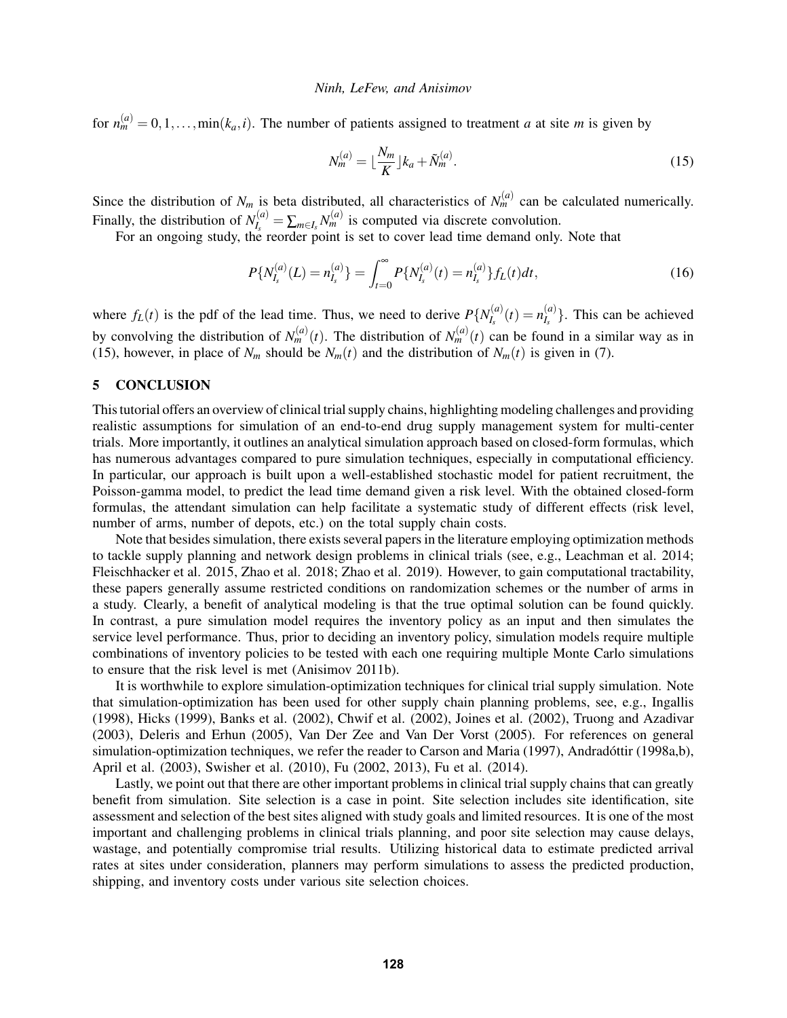for  $n_m^{(a)} = 0, 1, \ldots, \min(k_a, i)$ . The number of patients assigned to treatment *a* at site *m* is given by

<span id="page-10-0"></span>
$$
N_m^{(a)} = \lfloor \frac{N_m}{K} \rfloor k_a + \tilde{N}_m^{(a)}.\tag{15}
$$

Since the distribution of  $N_m$  is beta distributed, all characteristics of  $N_m^{(a)}$  can be calculated numerically. Finally, the distribution of  $N_L^{(a)}$  $I_s^{(a)} = \sum_{m \in I_s} N_m^{(a)}$  is computed via discrete convolution.

For an ongoing study, the reorder point is set to cover lead time demand only. Note that

$$
P\{N_{I_s}^{(a)}(L) = n_{I_s}^{(a)}\} = \int_{t=0}^{\infty} P\{N_{I_s}^{(a)}(t) = n_{I_s}^{(a)}\} f_L(t) dt,
$$
\n(16)

where  $f_L(t)$  is the pdf of the lead time. Thus, we need to derive  $P\{N_l^{(a)}\}$  $I_s^{(a)}(t) = n_{I_s}^{(a)}$  $\binom{a}{I_s}$ . This can be achieved by convolving the distribution of  $N_m^{(a)}(t)$ . The distribution of  $N_m^{(a)}(t)$  can be found in a similar way as in [\(15\)](#page-10-0), however, in place of  $N_m$  should be  $N_m(t)$  and the distribution of  $N_m(t)$  is given in [\(7\)](#page-6-1).

## 5 CONCLUSION

This tutorial offers an overview of clinical trial supply chains, highlighting modeling challenges and providing realistic assumptions for simulation of an end-to-end drug supply management system for multi-center trials. More importantly, it outlines an analytical simulation approach based on closed-form formulas, which has numerous advantages compared to pure simulation techniques, especially in computational efficiency. In particular, our approach is built upon a well-established stochastic model for patient recruitment, the Poisson-gamma model, to predict the lead time demand given a risk level. With the obtained closed-form formulas, the attendant simulation can help facilitate a systematic study of different effects (risk level, number of arms, number of depots, etc.) on the total supply chain costs.

Note that besides simulation, there exists several papers in the literature employing optimization methods to tackle supply planning and network design problems in clinical trials (see, e.g., Leachman et al. 2014; Fleischhacker et al. 2015, Zhao et al. 2018; Zhao et al. 2019). However, to gain computational tractability, these papers generally assume restricted conditions on randomization schemes or the number of arms in a study. Clearly, a benefit of analytical modeling is that the true optimal solution can be found quickly. In contrast, a pure simulation model requires the inventory policy as an input and then simulates the service level performance. Thus, prior to deciding an inventory policy, simulation models require multiple combinations of inventory policies to be tested with each one requiring multiple Monte Carlo simulations to ensure that the risk level is met (Anisimov 2011b).

It is worthwhile to explore simulation-optimization techniques for clinical trial supply simulation. Note that simulation-optimization has been used for other supply chain planning problems, see, e.g., Ingallis (1998), Hicks (1999), Banks et al. (2002), Chwif et al. (2002), Joines et al. (2002), Truong and Azadivar (2003), Deleris and Erhun (2005), Van Der Zee and Van Der Vorst (2005). For references on general simulation-optimization techniques, we refer the reader to Carson and Maria (1997), Andradóttir (1998a,b), April et al. (2003), Swisher et al. (2010), Fu (2002, 2013), Fu et al. (2014).

Lastly, we point out that there are other important problems in clinical trial supply chains that can greatly benefit from simulation. Site selection is a case in point. Site selection includes site identification, site assessment and selection of the best sites aligned with study goals and limited resources. It is one of the most important and challenging problems in clinical trials planning, and poor site selection may cause delays, wastage, and potentially compromise trial results. Utilizing historical data to estimate predicted arrival rates at sites under consideration, planners may perform simulations to assess the predicted production, shipping, and inventory costs under various site selection choices.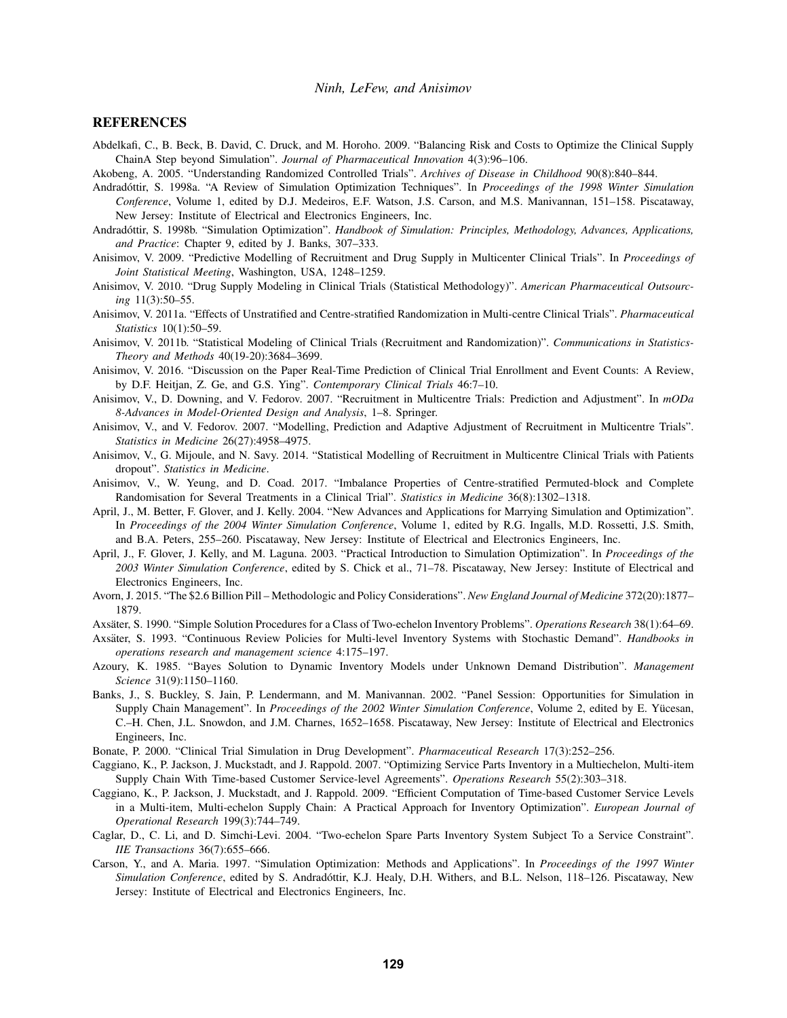#### **REFERENCES**

- Abdelkafi, C., B. Beck, B. David, C. Druck, and M. Horoho. 2009. "Balancing Risk and Costs to Optimize the Clinical Supply ChainA Step beyond Simulation". *Journal of Pharmaceutical Innovation* 4(3):96–106.
- Akobeng, A. 2005. "Understanding Randomized Controlled Trials". *Archives of Disease in Childhood* 90(8):840–844.
- Andradóttir, S. 1998a. "A Review of Simulation Optimization Techniques". In *Proceedings of the 1998 Winter Simulation Conference*, Volume 1, edited by D.J. Medeiros, E.F. Watson, J.S. Carson, and M.S. Manivannan, 151–158. Piscataway, New Jersey: Institute of Electrical and Electronics Engineers, Inc.
- Andradóttir, S. 1998b. "Simulation Optimization". *Handbook of Simulation: Principles, Methodology, Advances, Applications, and Practice*: Chapter 9, edited by J. Banks, 307–333.
- Anisimov, V. 2009. "Predictive Modelling of Recruitment and Drug Supply in Multicenter Clinical Trials". In *Proceedings of Joint Statistical Meeting*, Washington, USA, 1248–1259.
- Anisimov, V. 2010. "Drug Supply Modeling in Clinical Trials (Statistical Methodology)". *American Pharmaceutical Outsourcing* 11(3):50–55.
- Anisimov, V. 2011a. "Effects of Unstratified and Centre-stratified Randomization in Multi-centre Clinical Trials". *Pharmaceutical Statistics* 10(1):50–59.
- Anisimov, V. 2011b. "Statistical Modeling of Clinical Trials (Recruitment and Randomization)". *Communications in Statistics-Theory and Methods* 40(19-20):3684–3699.
- Anisimov, V. 2016. "Discussion on the Paper Real-Time Prediction of Clinical Trial Enrollment and Event Counts: A Review, by D.F. Heitjan, Z. Ge, and G.S. Ying". *Contemporary Clinical Trials* 46:7–10.
- Anisimov, V., D. Downing, and V. Fedorov. 2007. "Recruitment in Multicentre Trials: Prediction and Adjustment". In *mODa 8-Advances in Model-Oriented Design and Analysis*, 1–8. Springer.
- Anisimov, V., and V. Fedorov. 2007. "Modelling, Prediction and Adaptive Adjustment of Recruitment in Multicentre Trials". *Statistics in Medicine* 26(27):4958–4975.
- Anisimov, V., G. Mijoule, and N. Savy. 2014. "Statistical Modelling of Recruitment in Multicentre Clinical Trials with Patients dropout". *Statistics in Medicine*.
- Anisimov, V., W. Yeung, and D. Coad. 2017. "Imbalance Properties of Centre-stratified Permuted-block and Complete Randomisation for Several Treatments in a Clinical Trial". *Statistics in Medicine* 36(8):1302–1318.
- April, J., M. Better, F. Glover, and J. Kelly. 2004. "New Advances and Applications for Marrying Simulation and Optimization". In *Proceedings of the 2004 Winter Simulation Conference*, Volume 1, edited by R.G. Ingalls, M.D. Rossetti, J.S. Smith, and B.A. Peters, 255–260. Piscataway, New Jersey: Institute of Electrical and Electronics Engineers, Inc.
- April, J., F. Glover, J. Kelly, and M. Laguna. 2003. "Practical Introduction to Simulation Optimization". In *Proceedings of the 2003 Winter Simulation Conference*, edited by S. Chick et al., 71–78. Piscataway, New Jersey: Institute of Electrical and Electronics Engineers, Inc.
- Avorn, J. 2015. "The \$2.6 Billion Pill Methodologic and Policy Considerations". *New England Journal of Medicine* 372(20):1877– 1879.
- Axsater, S. 1990. "Simple Solution Procedures for a Class of Two-echelon Inventory Problems". ¨ *Operations Research* 38(1):64–69.
- Axsäter, S. 1993. "Continuous Review Policies for Multi-level Inventory Systems with Stochastic Demand". *Handbooks in operations research and management science* 4:175–197.
- Azoury, K. 1985. "Bayes Solution to Dynamic Inventory Models under Unknown Demand Distribution". *Management Science* 31(9):1150–1160.
- Banks, J., S. Buckley, S. Jain, P. Lendermann, and M. Manivannan. 2002. "Panel Session: Opportunities for Simulation in Supply Chain Management". In *Proceedings of the 2002 Winter Simulation Conference*, Volume 2, edited by E. Yücesan, C.–H. Chen, J.L. Snowdon, and J.M. Charnes, 1652–1658. Piscataway, New Jersey: Institute of Electrical and Electronics Engineers, Inc.
- Bonate, P. 2000. "Clinical Trial Simulation in Drug Development". *Pharmaceutical Research* 17(3):252–256.
- Caggiano, K., P. Jackson, J. Muckstadt, and J. Rappold. 2007. "Optimizing Service Parts Inventory in a Multiechelon, Multi-item Supply Chain With Time-based Customer Service-level Agreements". *Operations Research* 55(2):303–318.
- Caggiano, K., P. Jackson, J. Muckstadt, and J. Rappold. 2009. "Efficient Computation of Time-based Customer Service Levels in a Multi-item, Multi-echelon Supply Chain: A Practical Approach for Inventory Optimization". *European Journal of Operational Research* 199(3):744–749.
- Caglar, D., C. Li, and D. Simchi-Levi. 2004. "Two-echelon Spare Parts Inventory System Subject To a Service Constraint". *IIE Transactions* 36(7):655–666.
- Carson, Y., and A. Maria. 1997. "Simulation Optimization: Methods and Applications". In *Proceedings of the 1997 Winter Simulation Conference*, edited by S. Andradottir, K.J. Healy, D.H. Withers, and B.L. Nelson, 118–126. Piscataway, New ´ Jersey: Institute of Electrical and Electronics Engineers, Inc.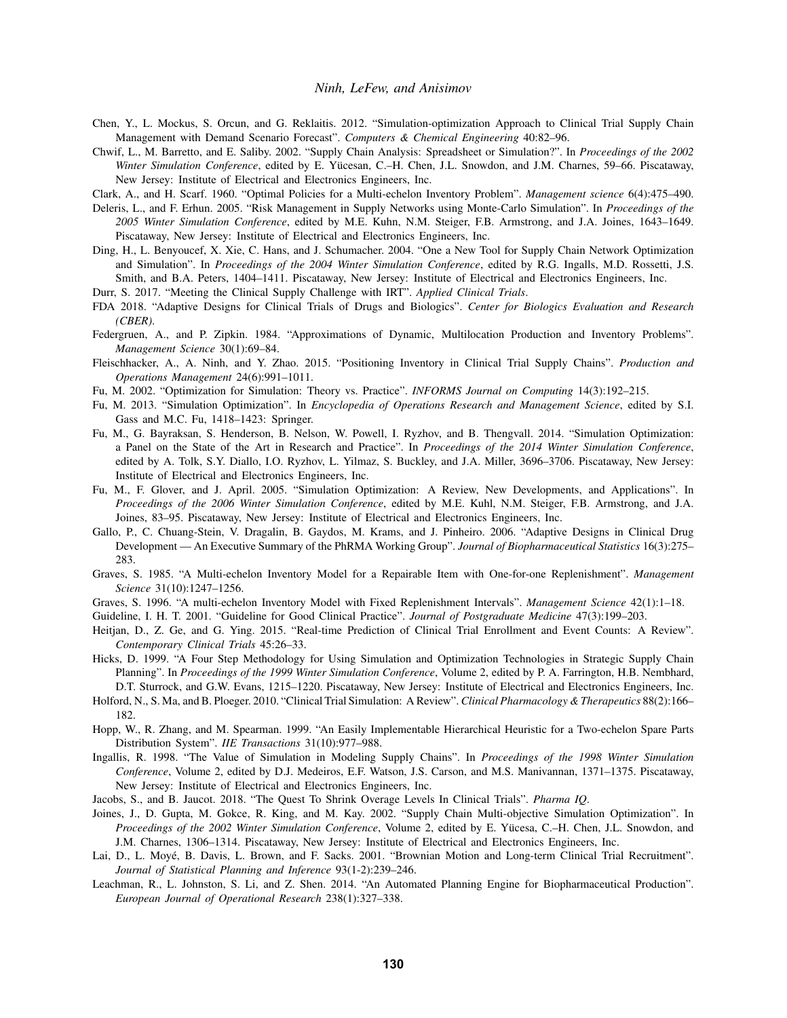- Chen, Y., L. Mockus, S. Orcun, and G. Reklaitis. 2012. "Simulation-optimization Approach to Clinical Trial Supply Chain Management with Demand Scenario Forecast". *Computers & Chemical Engineering* 40:82–96.
- Chwif, L., M. Barretto, and E. Saliby. 2002. "Supply Chain Analysis: Spreadsheet or Simulation?". In *Proceedings of the 2002 Winter Simulation Conference*, edited by E. Yücesan, C.–H. Chen, J.L. Snowdon, and J.M. Charnes, 59–66. Piscataway, New Jersey: Institute of Electrical and Electronics Engineers, Inc.
- Clark, A., and H. Scarf. 1960. "Optimal Policies for a Multi-echelon Inventory Problem". *Management science* 6(4):475–490.
- Deleris, L., and F. Erhun. 2005. "Risk Management in Supply Networks using Monte-Carlo Simulation". In *Proceedings of the 2005 Winter Simulation Conference*, edited by M.E. Kuhn, N.M. Steiger, F.B. Armstrong, and J.A. Joines, 1643–1649. Piscataway, New Jersey: Institute of Electrical and Electronics Engineers, Inc.
- Ding, H., L. Benyoucef, X. Xie, C. Hans, and J. Schumacher. 2004. "One a New Tool for Supply Chain Network Optimization and Simulation". In *Proceedings of the 2004 Winter Simulation Conference*, edited by R.G. Ingalls, M.D. Rossetti, J.S. Smith, and B.A. Peters, 1404–1411. Piscataway, New Jersey: Institute of Electrical and Electronics Engineers, Inc.
- Durr, S. 2017. "Meeting the Clinical Supply Challenge with IRT". *Applied Clinical Trials*.
- FDA 2018. "Adaptive Designs for Clinical Trials of Drugs and Biologics". *Center for Biologics Evaluation and Research (CBER)*.
- Federgruen, A., and P. Zipkin. 1984. "Approximations of Dynamic, Multilocation Production and Inventory Problems". *Management Science* 30(1):69–84.
- Fleischhacker, A., A. Ninh, and Y. Zhao. 2015. "Positioning Inventory in Clinical Trial Supply Chains". *Production and Operations Management* 24(6):991–1011.
- Fu, M. 2002. "Optimization for Simulation: Theory vs. Practice". *INFORMS Journal on Computing* 14(3):192–215.
- Fu, M. 2013. "Simulation Optimization". In *Encyclopedia of Operations Research and Management Science*, edited by S.I. Gass and M.C. Fu, 1418–1423: Springer.
- Fu, M., G. Bayraksan, S. Henderson, B. Nelson, W. Powell, I. Ryzhov, and B. Thengvall. 2014. "Simulation Optimization: a Panel on the State of the Art in Research and Practice". In *Proceedings of the 2014 Winter Simulation Conference*, edited by A. Tolk, S.Y. Diallo, I.O. Ryzhov, L. Yilmaz, S. Buckley, and J.A. Miller, 3696–3706. Piscataway, New Jersey: Institute of Electrical and Electronics Engineers, Inc.
- Fu, M., F. Glover, and J. April. 2005. "Simulation Optimization: A Review, New Developments, and Applications". In *Proceedings of the 2006 Winter Simulation Conference*, edited by M.E. Kuhl, N.M. Steiger, F.B. Armstrong, and J.A. Joines, 83–95. Piscataway, New Jersey: Institute of Electrical and Electronics Engineers, Inc.
- Gallo, P., C. Chuang-Stein, V. Dragalin, B. Gaydos, M. Krams, and J. Pinheiro. 2006. "Adaptive Designs in Clinical Drug Development — An Executive Summary of the PhRMA Working Group". *Journal of Biopharmaceutical Statistics* 16(3):275– 283.
- Graves, S. 1985. "A Multi-echelon Inventory Model for a Repairable Item with One-for-one Replenishment". *Management Science* 31(10):1247–1256.
- Graves, S. 1996. "A multi-echelon Inventory Model with Fixed Replenishment Intervals". *Management Science* 42(1):1–18.

Guideline, I. H. T. 2001. "Guideline for Good Clinical Practice". *Journal of Postgraduate Medicine* 47(3):199–203.

- Heitjan, D., Z. Ge, and G. Ying. 2015. "Real-time Prediction of Clinical Trial Enrollment and Event Counts: A Review". *Contemporary Clinical Trials* 45:26–33.
- Hicks, D. 1999. "A Four Step Methodology for Using Simulation and Optimization Technologies in Strategic Supply Chain Planning". In *Proceedings of the 1999 Winter Simulation Conference*, Volume 2, edited by P. A. Farrington, H.B. Nembhard, D.T. Sturrock, and G.W. Evans, 1215–1220. Piscataway, New Jersey: Institute of Electrical and Electronics Engineers, Inc.
- Holford, N., S. Ma, and B. Ploeger. 2010. "Clinical Trial Simulation: A Review". *Clinical Pharmacology & Therapeutics* 88(2):166– 182.
- Hopp, W., R. Zhang, and M. Spearman. 1999. "An Easily Implementable Hierarchical Heuristic for a Two-echelon Spare Parts Distribution System". *IIE Transactions* 31(10):977–988.
- Ingallis, R. 1998. "The Value of Simulation in Modeling Supply Chains". In *Proceedings of the 1998 Winter Simulation Conference*, Volume 2, edited by D.J. Medeiros, E.F. Watson, J.S. Carson, and M.S. Manivannan, 1371–1375. Piscataway, New Jersey: Institute of Electrical and Electronics Engineers, Inc.
- Jacobs, S., and B. Jaucot. 2018. "The Quest To Shrink Overage Levels In Clinical Trials". *Pharma IQ*.
- Joines, J., D. Gupta, M. Gokce, R. King, and M. Kay. 2002. "Supply Chain Multi-objective Simulation Optimization". In *Proceedings of the 2002 Winter Simulation Conference*, Volume 2, edited by E. Yucesa, C.–H. Chen, J.L. Snowdon, and ¨ J.M. Charnes, 1306–1314. Piscataway, New Jersey: Institute of Electrical and Electronics Engineers, Inc.
- Lai, D., L. Moyé, B. Davis, L. Brown, and F. Sacks. 2001. "Brownian Motion and Long-term Clinical Trial Recruitment". *Journal of Statistical Planning and Inference* 93(1-2):239–246.
- Leachman, R., L. Johnston, S. Li, and Z. Shen. 2014. "An Automated Planning Engine for Biopharmaceutical Production". *European Journal of Operational Research* 238(1):327–338.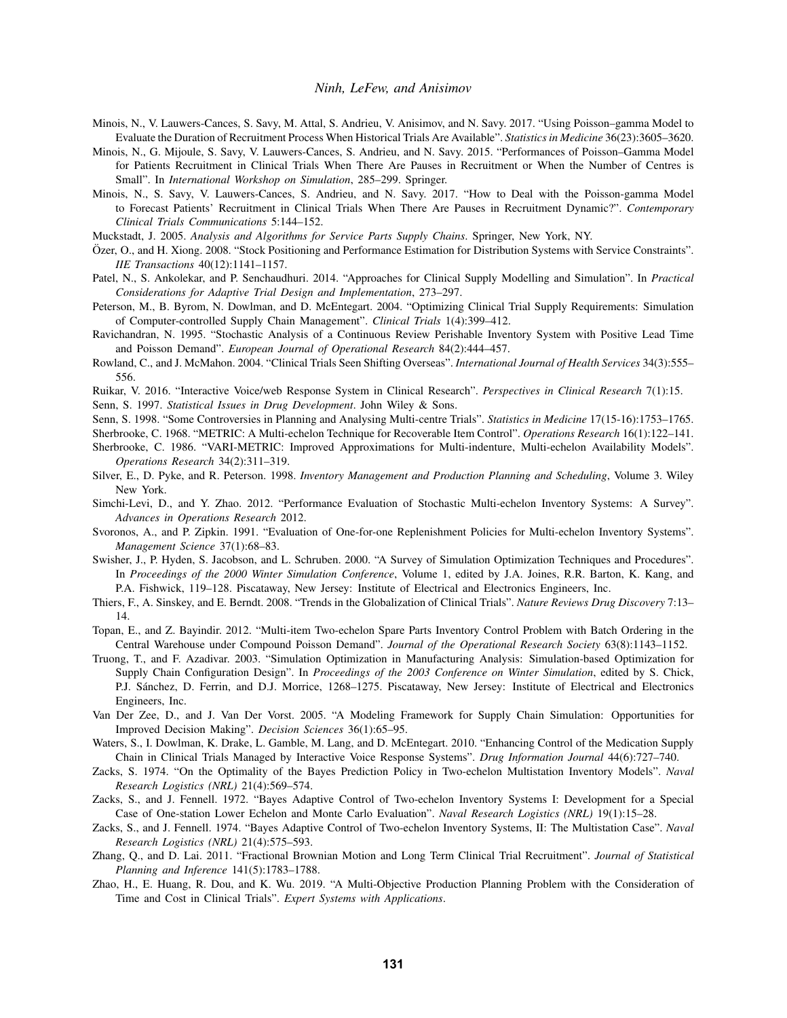- Minois, N., V. Lauwers-Cances, S. Savy, M. Attal, S. Andrieu, V. Anisimov, and N. Savy. 2017. "Using Poisson–gamma Model to Evaluate the Duration of Recruitment Process When Historical Trials Are Available". *Statistics in Medicine* 36(23):3605–3620.
- Minois, N., G. Mijoule, S. Savy, V. Lauwers-Cances, S. Andrieu, and N. Savy. 2015. "Performances of Poisson–Gamma Model for Patients Recruitment in Clinical Trials When There Are Pauses in Recruitment or When the Number of Centres is Small". In *International Workshop on Simulation*, 285–299. Springer.
- Minois, N., S. Savy, V. Lauwers-Cances, S. Andrieu, and N. Savy. 2017. "How to Deal with the Poisson-gamma Model to Forecast Patients' Recruitment in Clinical Trials When There Are Pauses in Recruitment Dynamic?". *Contemporary Clinical Trials Communications* 5:144–152.
- Muckstadt, J. 2005. *Analysis and Algorithms for Service Parts Supply Chains*. Springer, New York, NY.
- Ozer, O., and H. Xiong. 2008. "Stock Positioning and Performance Estimation for Distribution Systems with Service Constraints". ¨ *IIE Transactions* 40(12):1141–1157.
- Patel, N., S. Ankolekar, and P. Senchaudhuri. 2014. "Approaches for Clinical Supply Modelling and Simulation". In *Practical Considerations for Adaptive Trial Design and Implementation*, 273–297.
- Peterson, M., B. Byrom, N. Dowlman, and D. McEntegart. 2004. "Optimizing Clinical Trial Supply Requirements: Simulation of Computer-controlled Supply Chain Management". *Clinical Trials* 1(4):399–412.
- Ravichandran, N. 1995. "Stochastic Analysis of a Continuous Review Perishable Inventory System with Positive Lead Time and Poisson Demand". *European Journal of Operational Research* 84(2):444–457.
- Rowland, C., and J. McMahon. 2004. "Clinical Trials Seen Shifting Overseas". *International Journal of Health Services* 34(3):555– 556.
- Ruikar, V. 2016. "Interactive Voice/web Response System in Clinical Research". *Perspectives in Clinical Research* 7(1):15.

Senn, S. 1997. *Statistical Issues in Drug Development*. John Wiley & Sons.

- Senn, S. 1998. "Some Controversies in Planning and Analysing Multi-centre Trials". *Statistics in Medicine* 17(15-16):1753–1765.
- Sherbrooke, C. 1968. "METRIC: A Multi-echelon Technique for Recoverable Item Control". *Operations Research* 16(1):122–141.
- Sherbrooke, C. 1986. "VARI-METRIC: Improved Approximations for Multi-indenture, Multi-echelon Availability Models". *Operations Research* 34(2):311–319.
- Silver, E., D. Pyke, and R. Peterson. 1998. *Inventory Management and Production Planning and Scheduling*, Volume 3. Wiley New York.
- Simchi-Levi, D., and Y. Zhao. 2012. "Performance Evaluation of Stochastic Multi-echelon Inventory Systems: A Survey". *Advances in Operations Research* 2012.
- Svoronos, A., and P. Zipkin. 1991. "Evaluation of One-for-one Replenishment Policies for Multi-echelon Inventory Systems". *Management Science* 37(1):68–83.
- Swisher, J., P. Hyden, S. Jacobson, and L. Schruben. 2000. "A Survey of Simulation Optimization Techniques and Procedures". In *Proceedings of the 2000 Winter Simulation Conference*, Volume 1, edited by J.A. Joines, R.R. Barton, K. Kang, and P.A. Fishwick, 119–128. Piscataway, New Jersey: Institute of Electrical and Electronics Engineers, Inc.
- Thiers, F., A. Sinskey, and E. Berndt. 2008. "Trends in the Globalization of Clinical Trials". *Nature Reviews Drug Discovery* 7:13– 14.
- Topan, E., and Z. Bayindir. 2012. "Multi-item Two-echelon Spare Parts Inventory Control Problem with Batch Ordering in the Central Warehouse under Compound Poisson Demand". *Journal of the Operational Research Society* 63(8):1143–1152.
- Truong, T., and F. Azadivar. 2003. "Simulation Optimization in Manufacturing Analysis: Simulation-based Optimization for Supply Chain Configuration Design". In *Proceedings of the 2003 Conference on Winter Simulation*, edited by S. Chick, P.J. Sánchez, D. Ferrin, and D.J. Morrice, 1268–1275. Piscataway, New Jersey: Institute of Electrical and Electronics Engineers, Inc.
- Van Der Zee, D., and J. Van Der Vorst. 2005. "A Modeling Framework for Supply Chain Simulation: Opportunities for Improved Decision Making". *Decision Sciences* 36(1):65–95.
- Waters, S., I. Dowlman, K. Drake, L. Gamble, M. Lang, and D. McEntegart. 2010. "Enhancing Control of the Medication Supply Chain in Clinical Trials Managed by Interactive Voice Response Systems". *Drug Information Journal* 44(6):727–740.
- Zacks, S. 1974. "On the Optimality of the Bayes Prediction Policy in Two-echelon Multistation Inventory Models". *Naval Research Logistics (NRL)* 21(4):569–574.
- Zacks, S., and J. Fennell. 1972. "Bayes Adaptive Control of Two-echelon Inventory Systems I: Development for a Special Case of One-station Lower Echelon and Monte Carlo Evaluation". *Naval Research Logistics (NRL)* 19(1):15–28.
- Zacks, S., and J. Fennell. 1974. "Bayes Adaptive Control of Two-echelon Inventory Systems, II: The Multistation Case". *Naval Research Logistics (NRL)* 21(4):575–593.
- Zhang, Q., and D. Lai. 2011. "Fractional Brownian Motion and Long Term Clinical Trial Recruitment". *Journal of Statistical Planning and Inference* 141(5):1783–1788.
- Zhao, H., E. Huang, R. Dou, and K. Wu. 2019. "A Multi-Objective Production Planning Problem with the Consideration of Time and Cost in Clinical Trials". *Expert Systems with Applications*.